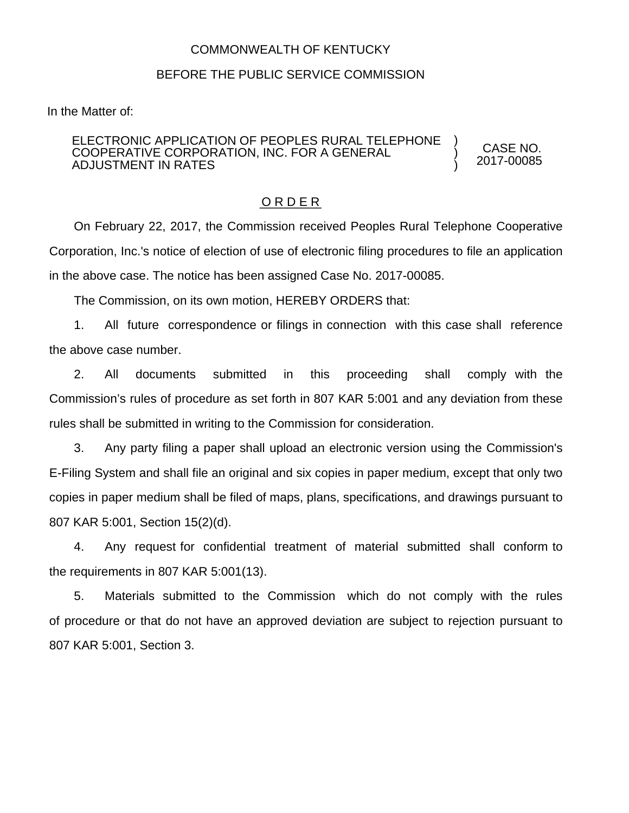## COMMONWEALTH OF KENTUCKY

## BEFORE THE PUBLIC SERVICE COMMISSION

In the Matter of:

## ELECTRONIC APPLICATION OF PEOPLES RURAL TELEPHONE COOPERATIVE CORPORATION, INC. FOR A GENERAL ADJUSTMENT IN RATES

CASE NO. 2017-00085

) ) )

## O R D E R

On February 22, 2017, the Commission received Peoples Rural Telephone Cooperative Corporation, Inc.'s notice of election of use of electronic filing procedures to file an application in the above case. The notice has been assigned Case No. 2017-00085.

The Commission, on its own motion, HEREBY ORDERS that:

1. All future correspondence or filings in connection with this case shall reference the above case number.

2. All documents submitted in this proceeding shall comply with the Commission's rules of procedure as set forth in 807 KAR 5:001 and any deviation from these rules shall be submitted in writing to the Commission for consideration.

3. Any party filing a paper shall upload an electronic version using the Commission's E-Filing System and shall file an original and six copies in paper medium, except that only two copies in paper medium shall be filed of maps, plans, specifications, and drawings pursuant to 807 KAR 5:001, Section 15(2)(d).

4. Any request for confidential treatment of material submitted shall conform to the requirements in 807 KAR 5:001(13).

5. Materials submitted to the Commission which do not comply with the rules of procedure or that do not have an approved deviation are subject to rejection pursuant to 807 KAR 5:001, Section 3.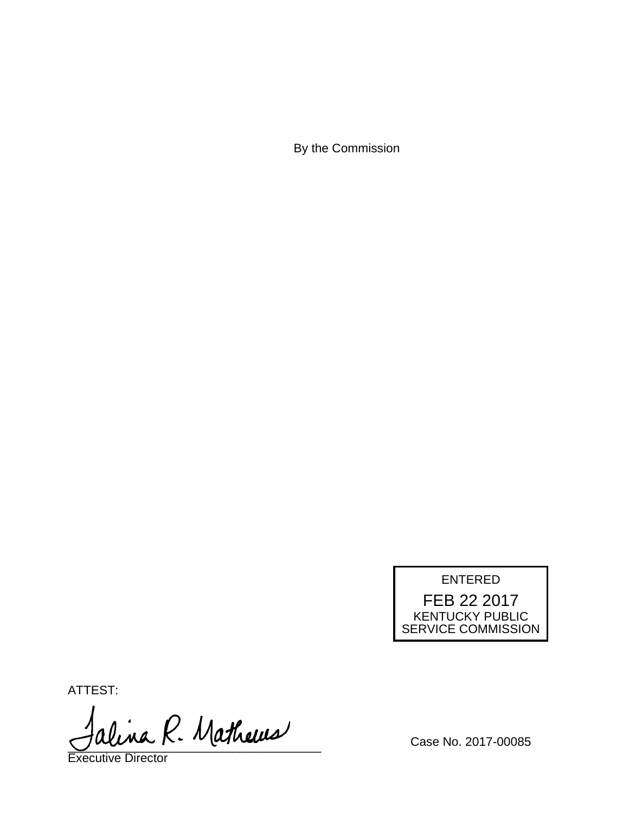By the Commission



ATTEST:

alina R. Mathews

Executive Director

Case No. 2017-00085